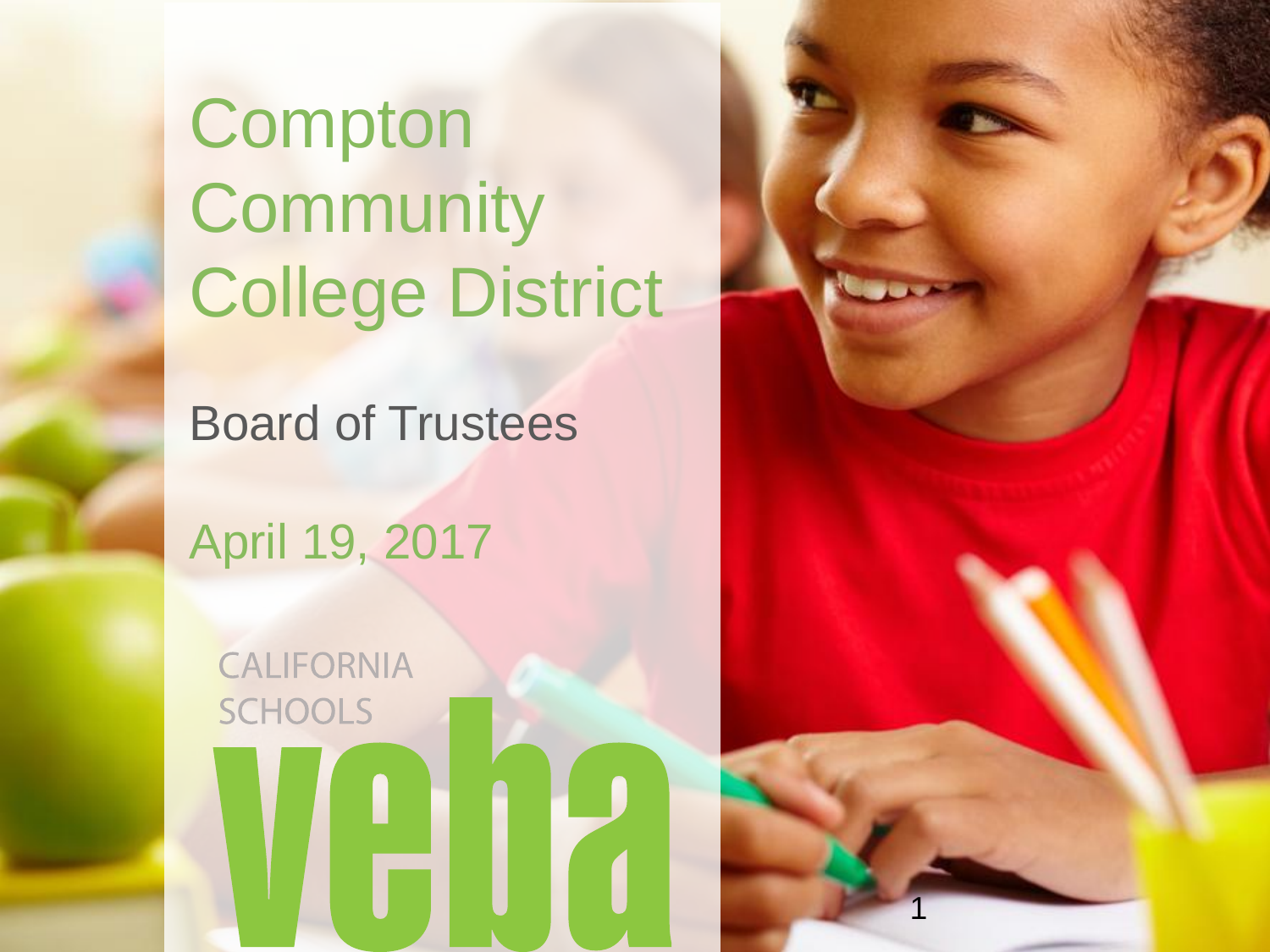**Compton Community** College District

Board of Trustees

April 19, 2017

LICENSE NO. 0451271

**CALIFORNIA SCHOOLS** 

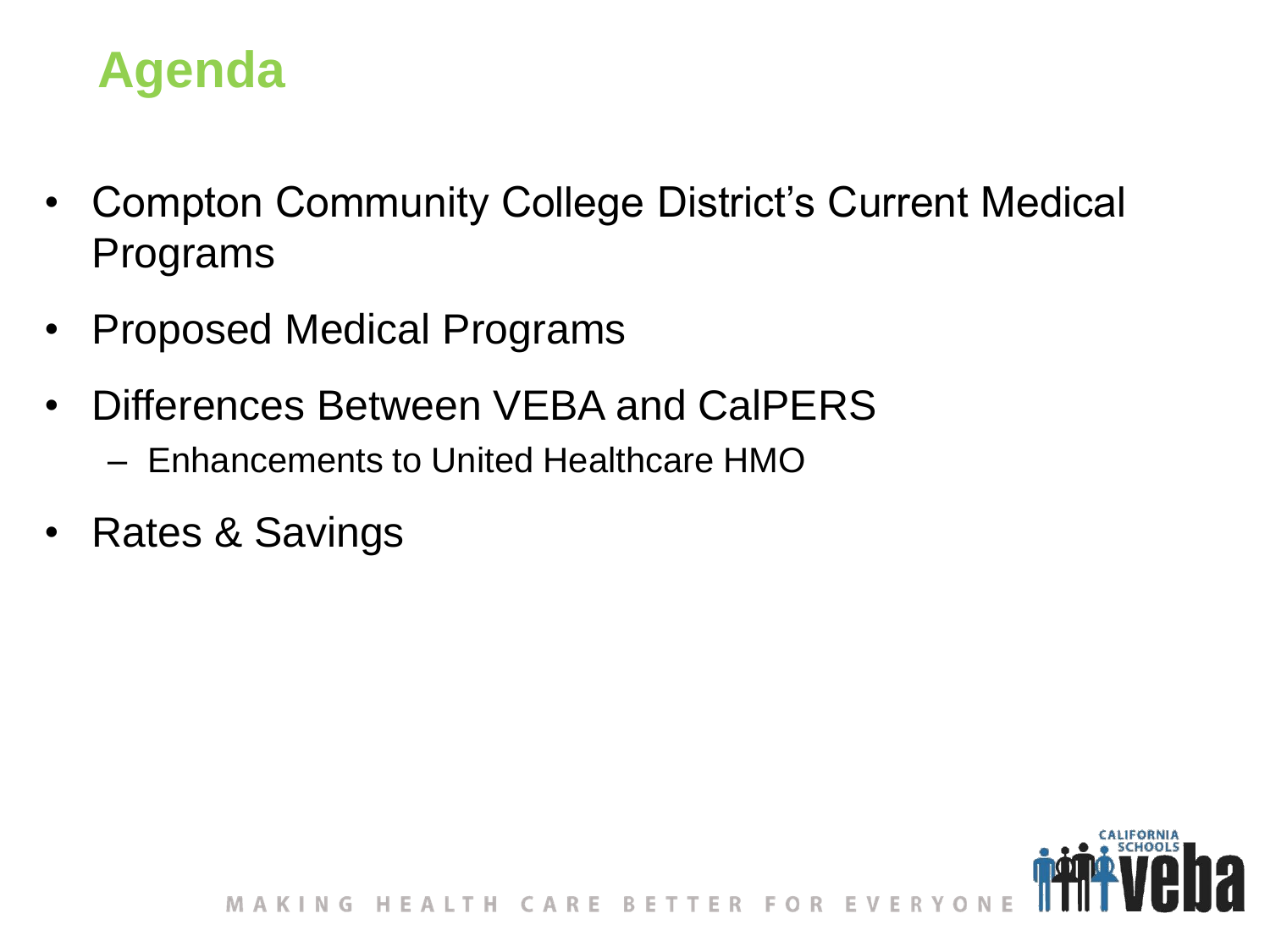## **Agenda**

- Compton Community College District's Current Medical Programs
- Proposed Medical Programs
- Differences Between VEBA and CalPERS
	- Enhancements to United Healthcare HMO
- Rates & Savings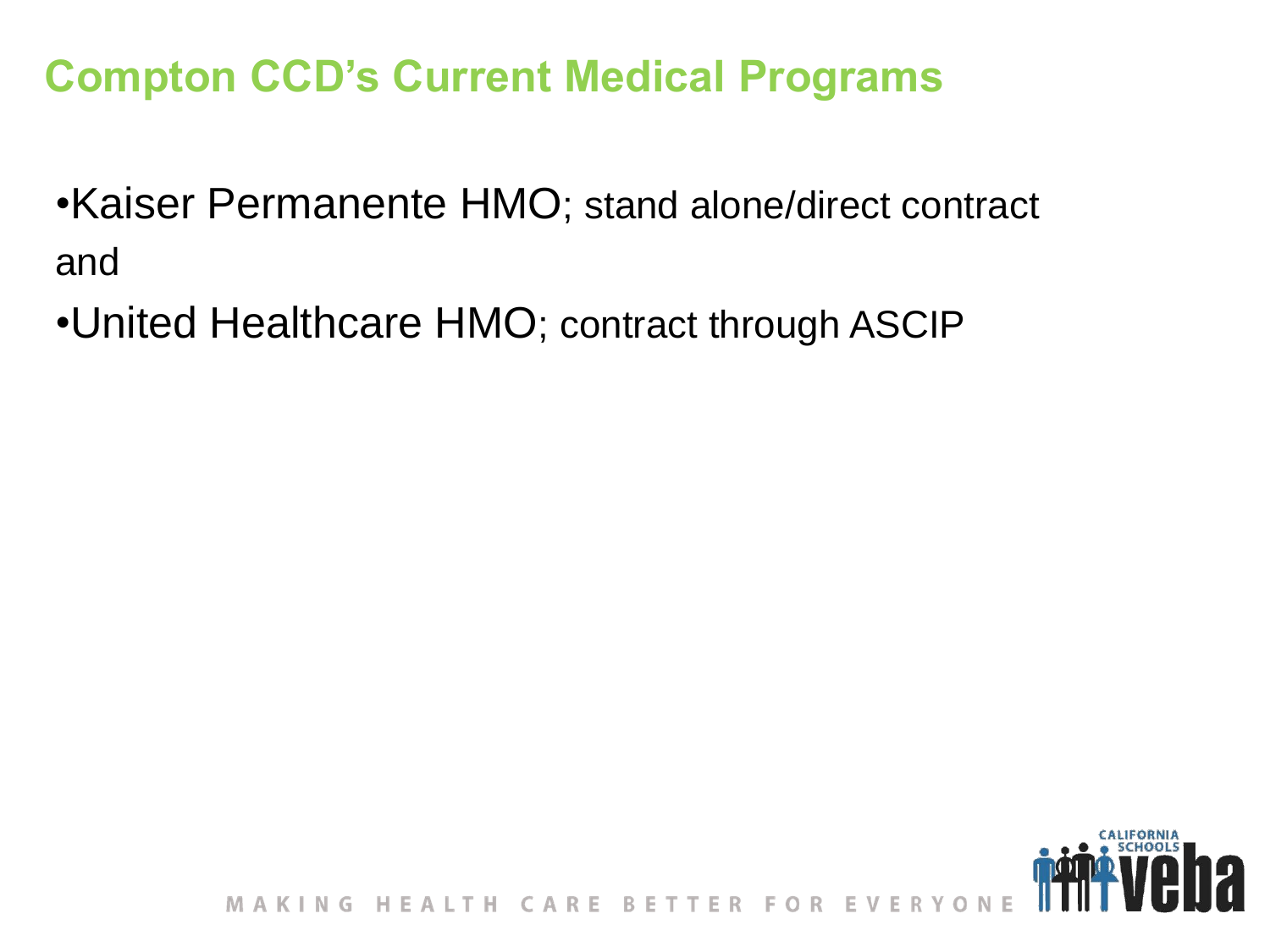## **Compton CCD's Current Medical Programs**

•Kaiser Permanente HMO; stand alone/direct contract and

•United Healthcare HMO; contract through ASCIP

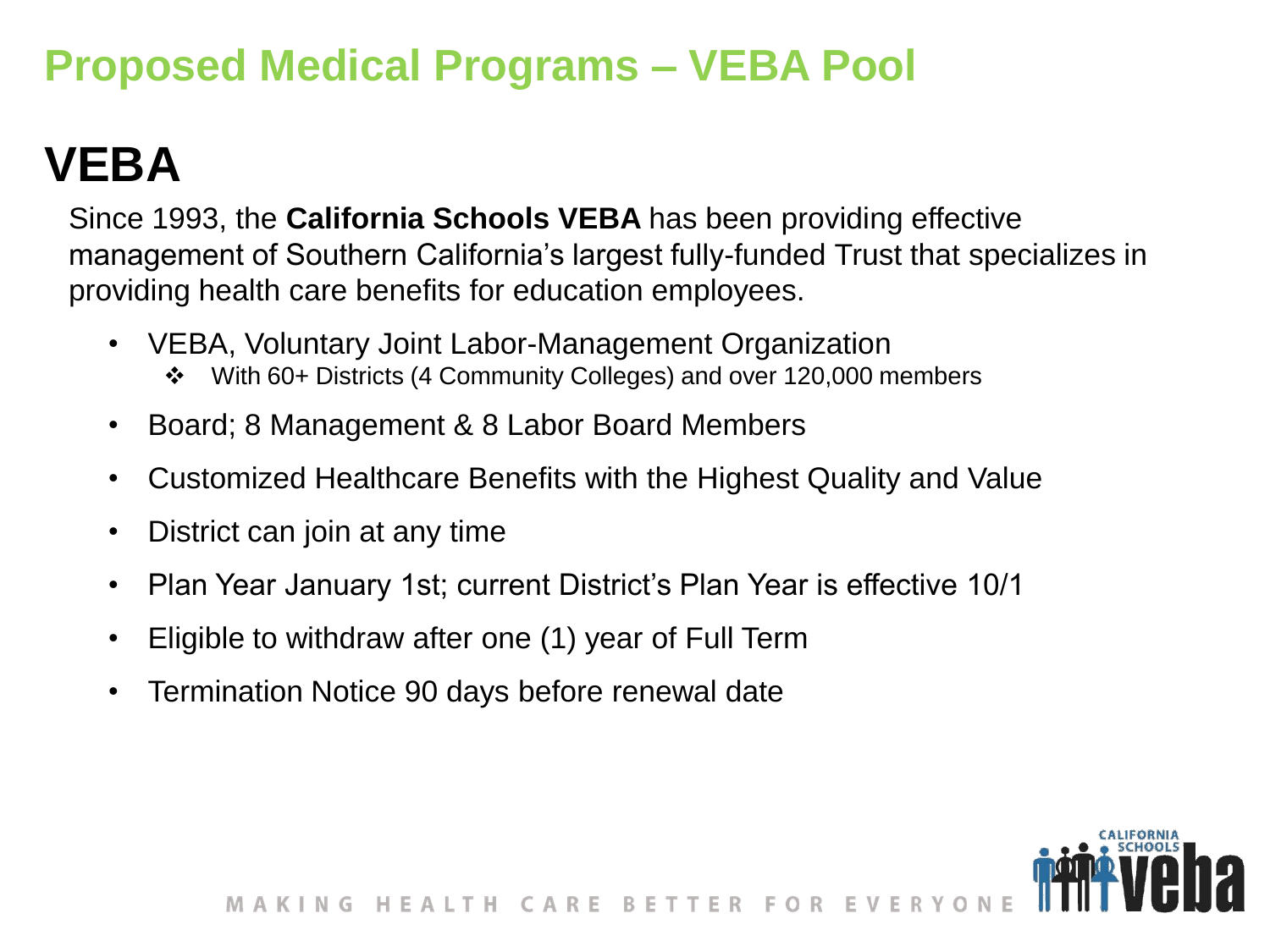## **Proposed Medical Programs – VEBA Pool**

# **VEBA**

Since 1993, the **California Schools VEBA** has been providing effective management of Southern California's largest fully-funded Trust that specializes in providing health care benefits for education employees.

- VEBA, Voluntary Joint Labor-Management Organization
	- With 60+ Districts (4 Community Colleges) and over 120,000 members
- Board; 8 Management & 8 Labor Board Members
- Customized Healthcare Benefits with the Highest Quality and Value
- District can join at any time
- Plan Year January 1st; current District's Plan Year is effective 10/1
- Eligible to withdraw after one (1) year of Full Term
- Termination Notice 90 days before renewal date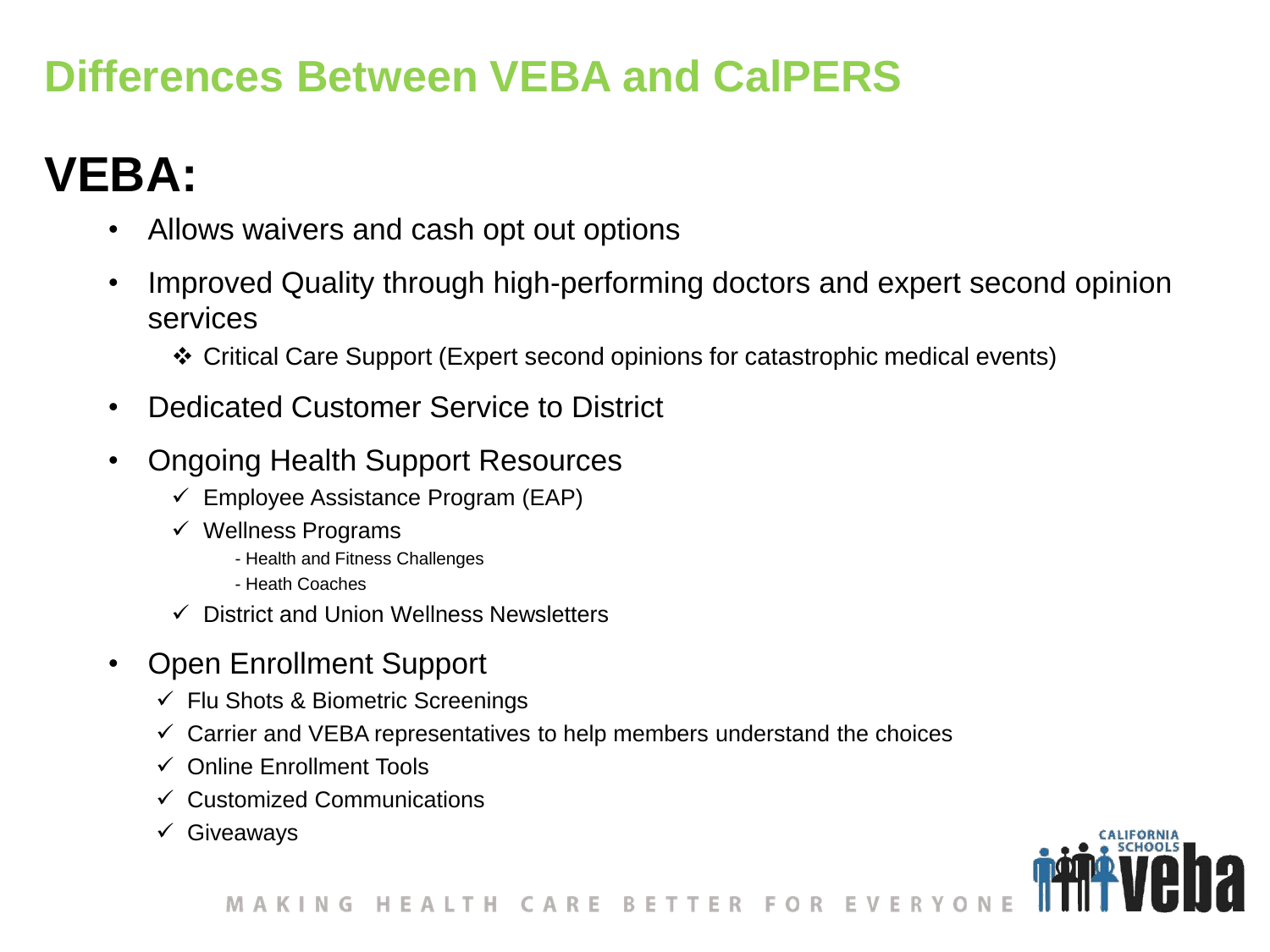### **Differences Between VEBA and CalPERS**

## **VEBA:**

- Allows waivers and cash opt out options
- Improved Quality through high-performing doctors and expert second opinion services
	- Critical Care Support (Expert second opinions for catastrophic medical events)
- Dedicated Customer Service to District
- Ongoing Health Support Resources
	- $\checkmark$  Employee Assistance Program (EAP)
	- $\checkmark$  Wellness Programs
		- Health and Fitness Challenges
		- Heath Coaches
	- $\checkmark$  District and Union Wellness Newsletters
- Open Enrollment Support
	- $\checkmark$  Flu Shots & Biometric Screenings
	- $\checkmark$  Carrier and VEBA representatives to help members understand the choices
	- $\checkmark$  Online Enrollment Tools
	- $\checkmark$  Customized Communications
	- $\checkmark$  Giveaways

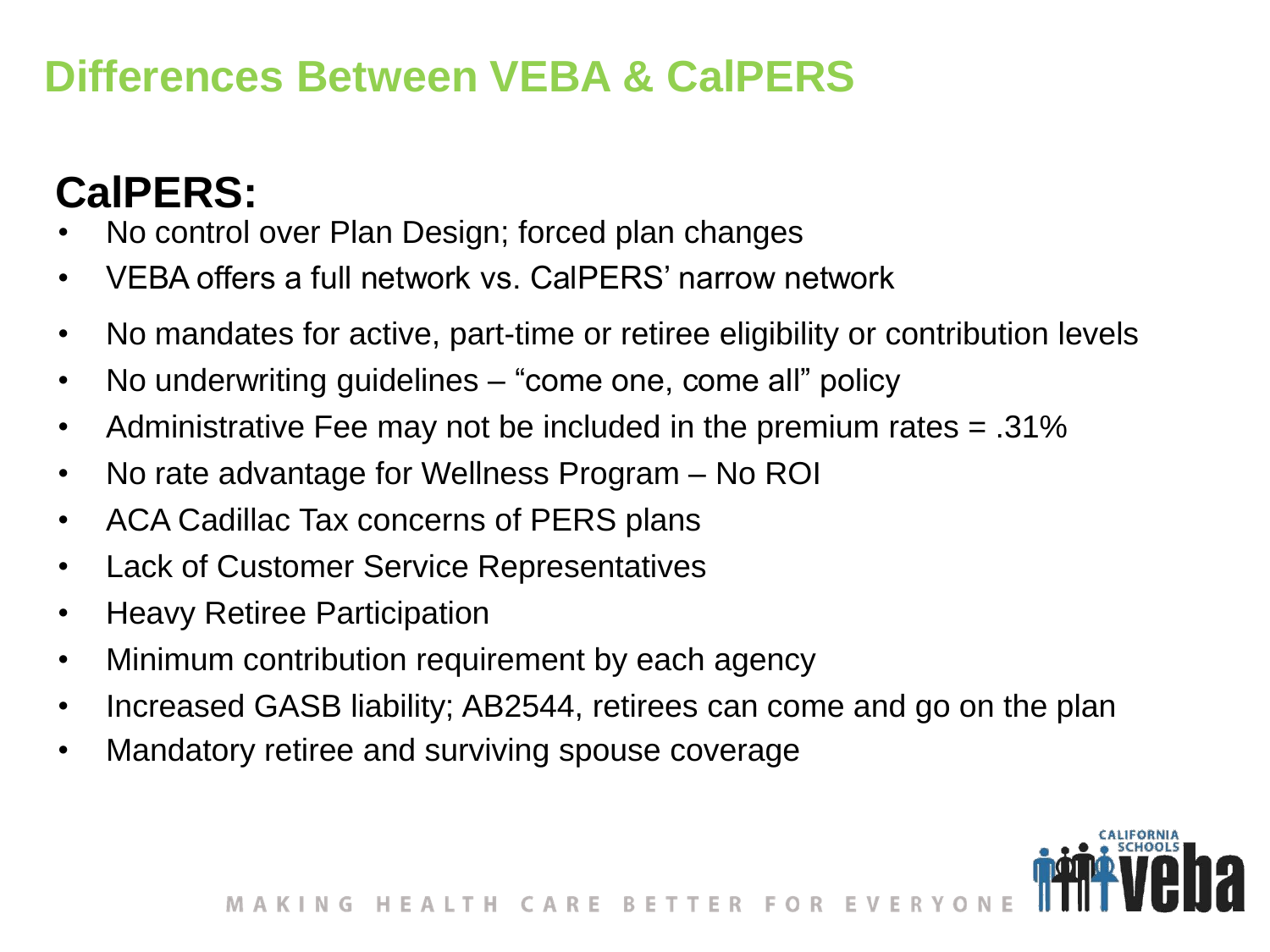#### **Differences Between VEBA & CalPERS**

## **CalPERS:**

- No control over Plan Design; forced plan changes
- VEBA offers a full network vs. CalPERS' narrow network
- No mandates for active, part-time or retiree eligibility or contribution levels
- No underwriting guidelines "come one, come all" policy
- Administrative Fee may not be included in the premium rates = .31%
- No rate advantage for Wellness Program No ROI
- ACA Cadillac Tax concerns of PERS plans
- Lack of Customer Service Representatives
- Heavy Retiree Participation
- Minimum contribution requirement by each agency
- Increased GASB liability; AB2544, retirees can come and go on the plan
- Mandatory retiree and surviving spouse coverage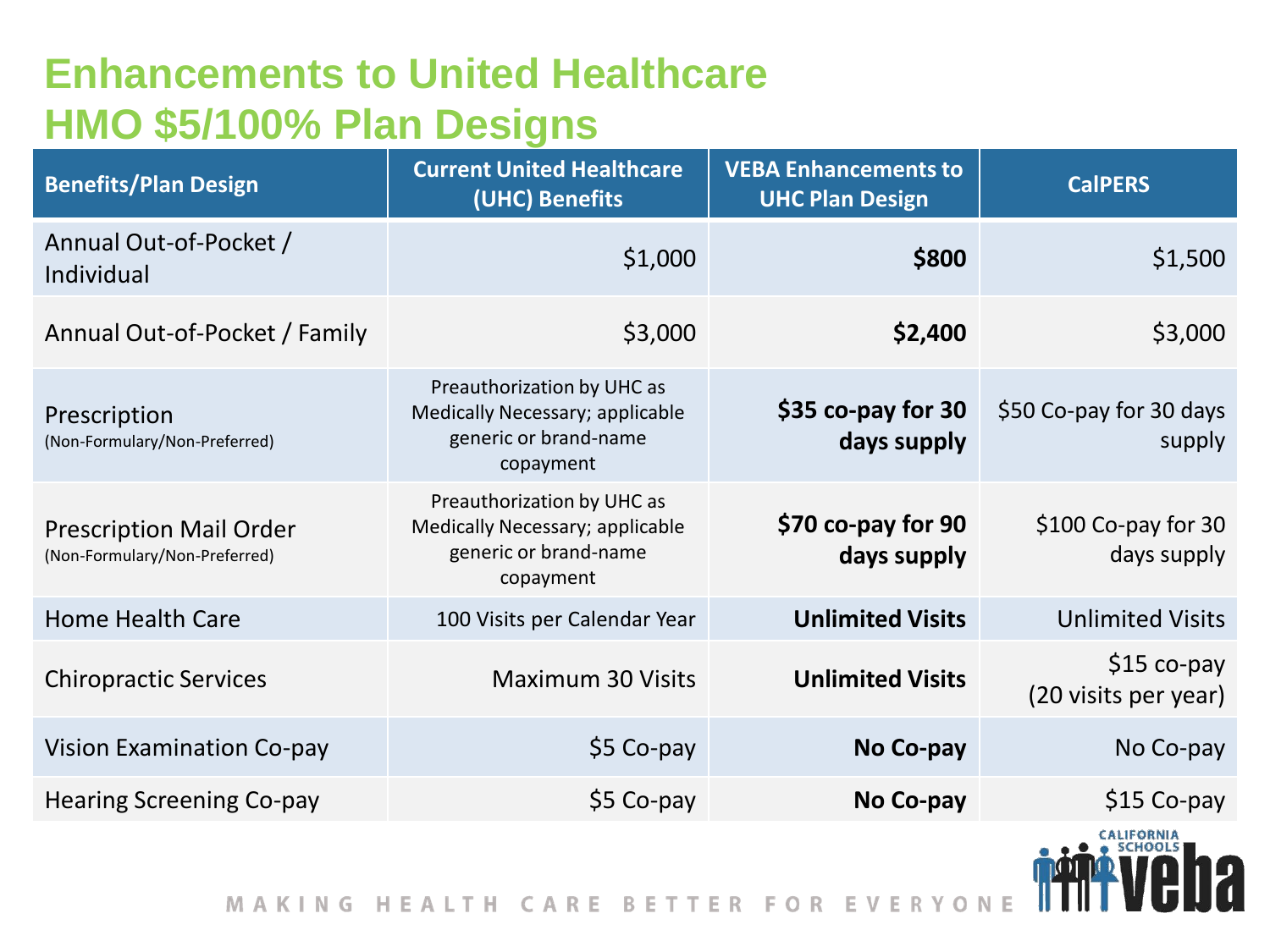#### **Enhancements to United Healthcare HMO \$5/100% Plan Designs**

| <b>Benefits/Plan Design</b>                                     | <b>Current United Healthcare</b><br>(UHC) Benefits                                                  | <b>VEBA Enhancements to</b><br><b>UHC Plan Design</b> | <b>CalPERS</b>                       |
|-----------------------------------------------------------------|-----------------------------------------------------------------------------------------------------|-------------------------------------------------------|--------------------------------------|
| Annual Out-of-Pocket /<br>Individual                            | \$1,000                                                                                             | \$800                                                 | \$1,500                              |
| Annual Out-of-Pocket / Family                                   | \$3,000                                                                                             | \$2,400                                               | \$3,000                              |
| Prescription<br>(Non-Formulary/Non-Preferred)                   | Preauthorization by UHC as<br>Medically Necessary; applicable<br>generic or brand-name<br>copayment | \$35 co-pay for 30<br>days supply                     | \$50 Co-pay for 30 days<br>supply    |
| <b>Prescription Mail Order</b><br>(Non-Formulary/Non-Preferred) | Preauthorization by UHC as<br>Medically Necessary; applicable<br>generic or brand-name<br>copayment | \$70 co-pay for 90<br>days supply                     | $$100$ Co-pay for 30<br>days supply  |
| <b>Home Health Care</b>                                         | 100 Visits per Calendar Year                                                                        | <b>Unlimited Visits</b>                               | <b>Unlimited Visits</b>              |
| <b>Chiropractic Services</b>                                    | <b>Maximum 30 Visits</b>                                                                            | <b>Unlimited Visits</b>                               | $$15 co-pay$<br>(20 visits per year) |
| <b>Vision Examination Co-pay</b>                                | \$5 Co-pay                                                                                          | No Co-pay                                             | No Co-pay                            |
| <b>Hearing Screening Co-pay</b>                                 | \$5 Co-pay                                                                                          | No Co-pay                                             | $$15$ Co-pay                         |
|                                                                 |                                                                                                     |                                                       | <b>CALIFORNIA</b>                    |

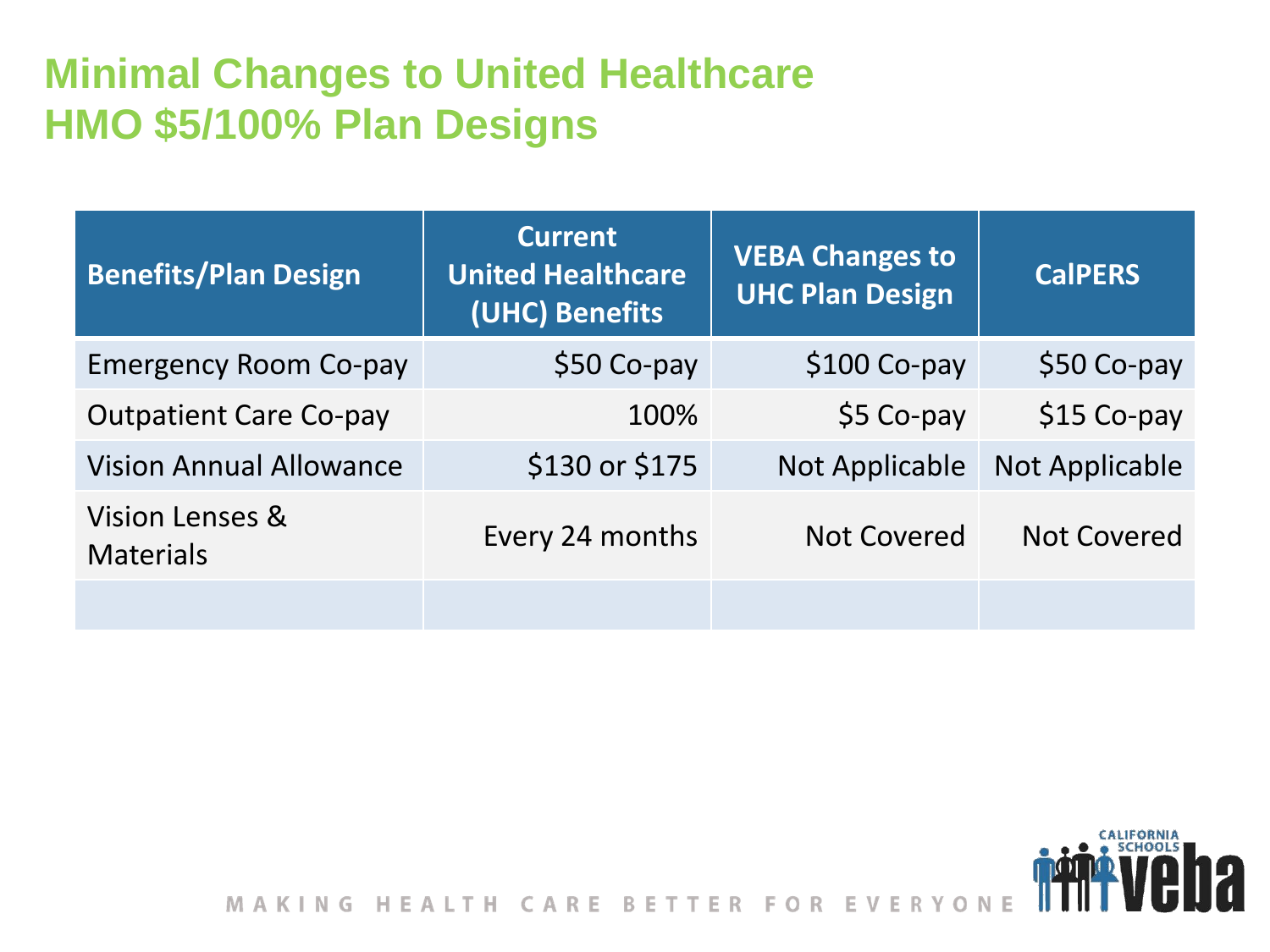#### **Minimal Changes to United Healthcare HMO \$5/100% Plan Designs**

| <b>Benefits/Plan Design</b>         | <b>Current</b><br><b>United Healthcare</b><br>(UHC) Benefits | <b>VEBA Changes to</b><br><b>UHC Plan Design</b> | <b>CalPERS</b>        |
|-------------------------------------|--------------------------------------------------------------|--------------------------------------------------|-----------------------|
| <b>Emergency Room Co-pay</b>        | \$50 Co-pay                                                  | $$100$ Co-pay                                    | $$50$ Co-pay          |
| <b>Outpatient Care Co-pay</b>       | 100%                                                         | $$5$ Co-pay                                      | $$15$ Co-pay          |
| <b>Vision Annual Allowance</b>      | \$130 or \$175                                               | Not Applicable                                   | <b>Not Applicable</b> |
| Vision Lenses &<br><b>Materials</b> | Every 24 months                                              | <b>Not Covered</b>                               | <b>Not Covered</b>    |
|                                     |                                                              |                                                  |                       |

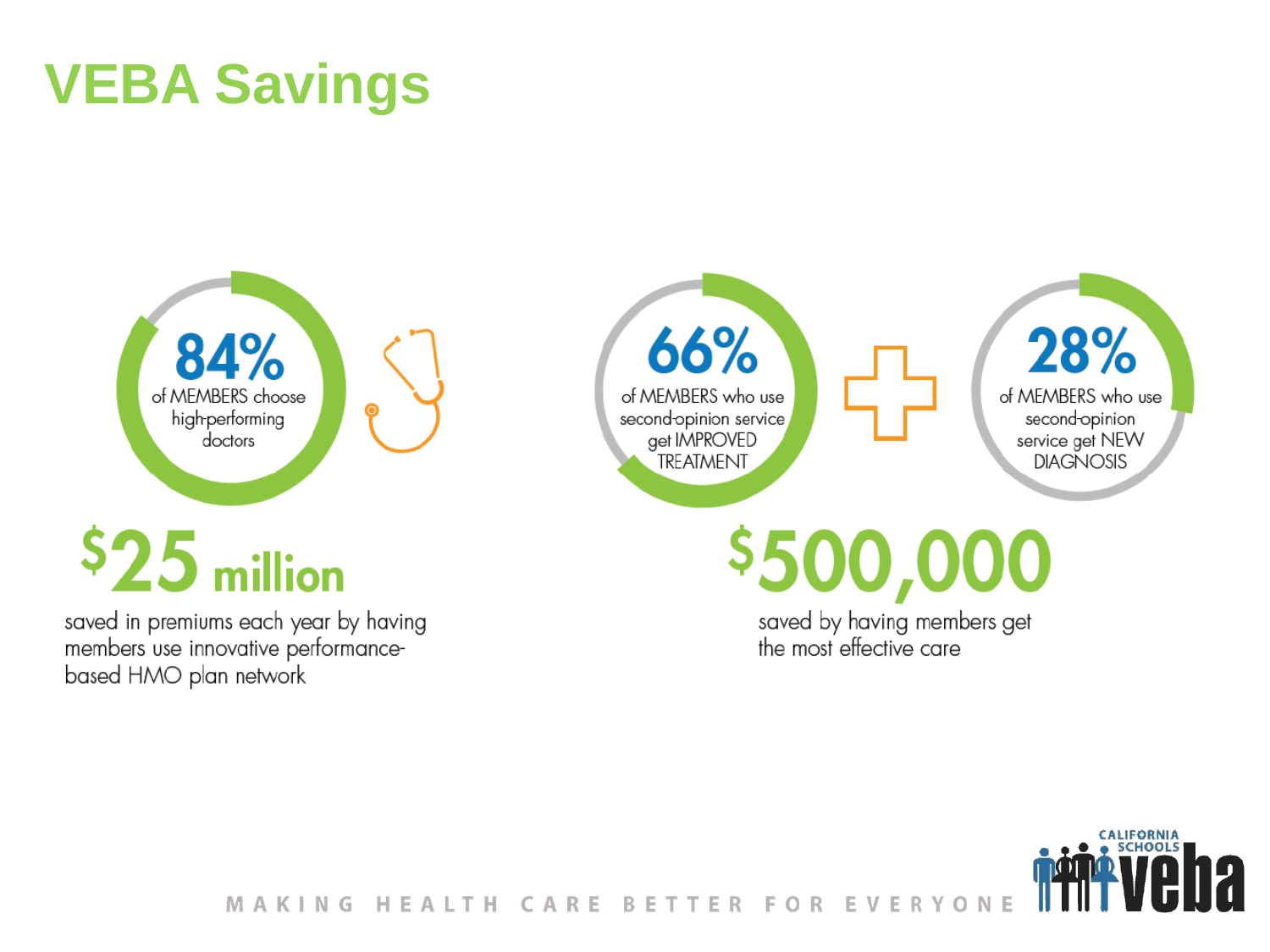# **VEBA Savings**

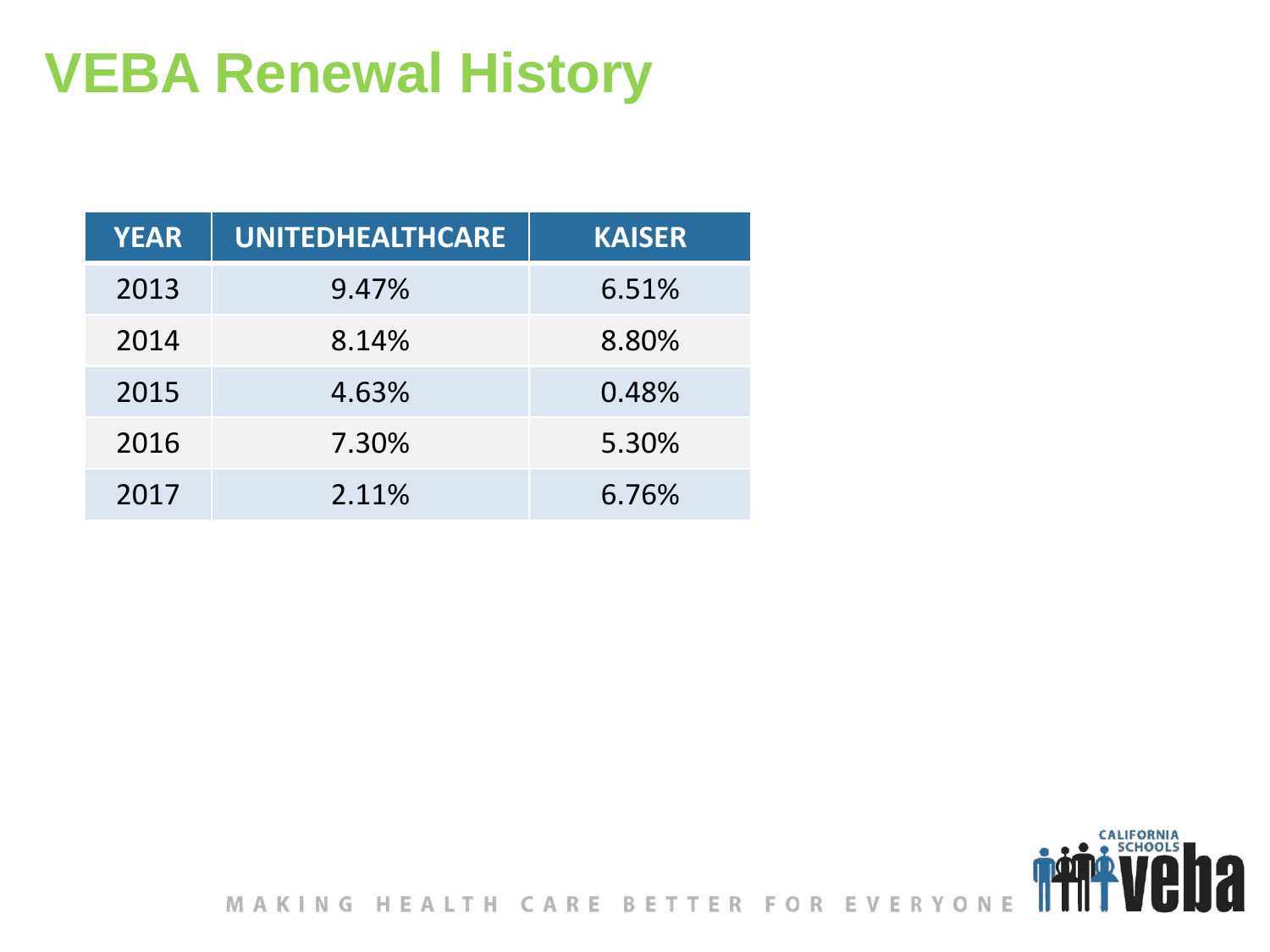# **VEBA Renewal History**

| <b>YEAR</b> | <b>UNITEDHEALTHCARE</b> | <b>KAISER</b> |
|-------------|-------------------------|---------------|
| 2013        | 9.47%                   | 6.51%         |
| 2014        | 8.14%                   | 8.80%         |
| 2015        | 4.63%                   | 0.48%         |
| 2016        | 7.30%                   | 5.30%         |
| 2017        | 2.11%                   | 6.76%         |

MAKING HEALTH CARE BETTER FOR EVERYONE

CALIFORNIA<br>• SCHOOLS

12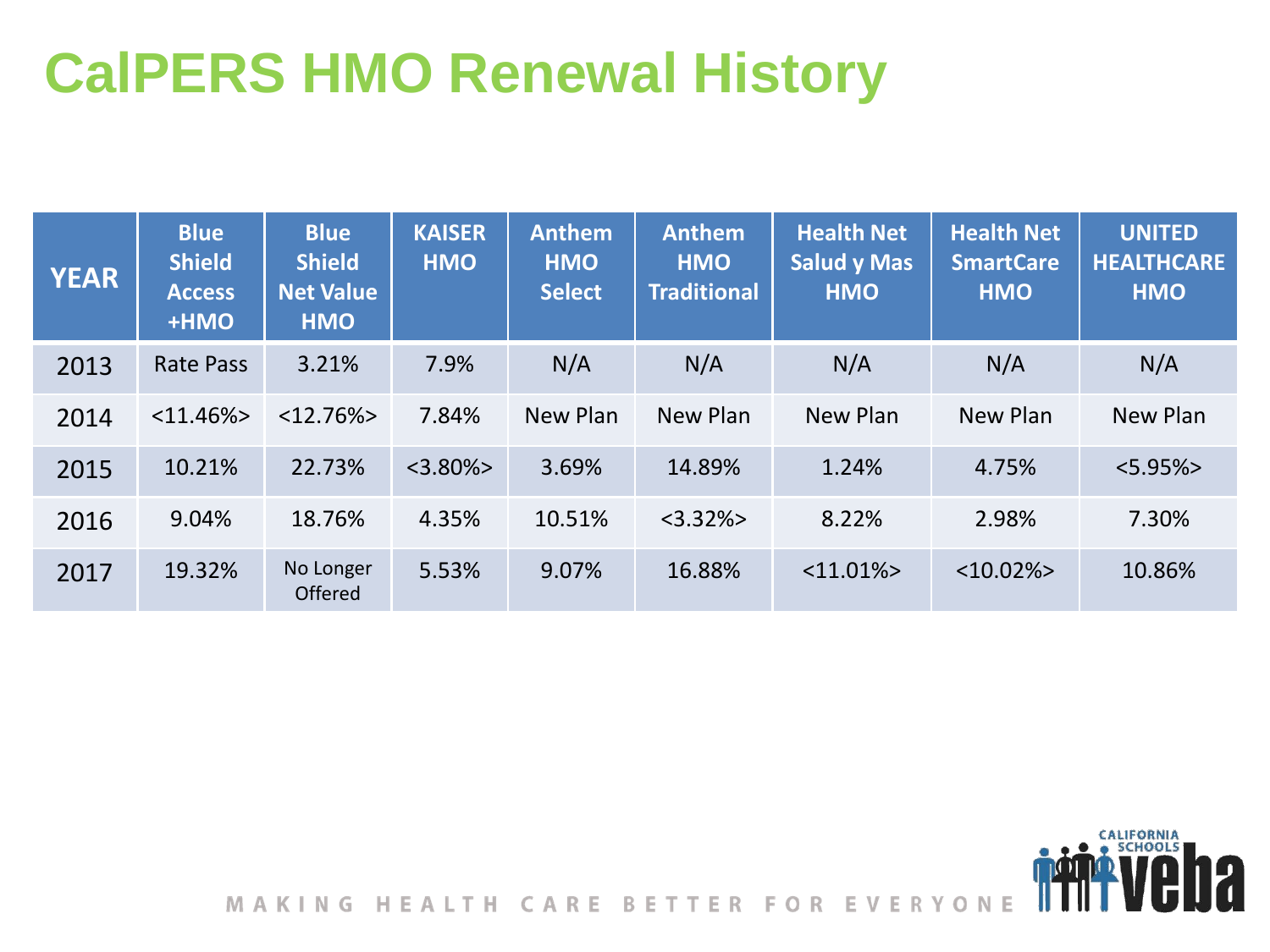# **CalPERS HMO Renewal History**

| <b>YEAR</b> | <b>Blue</b><br><b>Shield</b><br><b>Access</b><br>+HMO | <b>Blue</b><br><b>Shield</b><br><b>Net Value</b><br><b>HMO</b> | <b>KAISER</b><br><b>HMO</b> | <b>Anthem</b><br><b>HMO</b><br><b>Select</b> | <b>Anthem</b><br><b>HMO</b><br><b>Traditional</b> | <b>Health Net</b><br><b>Salud y Mas</b><br><b>HMO</b> | <b>Health Net</b><br><b>SmartCare</b><br><b>HMO</b> | <b>UNITED</b><br><b>HEALTHCARE</b><br><b>HMO</b> |
|-------------|-------------------------------------------------------|----------------------------------------------------------------|-----------------------------|----------------------------------------------|---------------------------------------------------|-------------------------------------------------------|-----------------------------------------------------|--------------------------------------------------|
| 2013        | <b>Rate Pass</b>                                      | 3.21%                                                          | 7.9%                        | N/A                                          | N/A                                               | N/A                                                   | N/A                                                 | N/A                                              |
| 2014        | $<$ 11.46% $>$                                        | $<12.76\%>$                                                    | 7.84%                       | New Plan                                     | New Plan                                          | New Plan                                              | New Plan                                            | New Plan                                         |
| 2015        | 10.21%                                                | 22.73%                                                         | $<$ 3.80% $>$               | 3.69%                                        | 14.89%                                            | 1.24%                                                 | 4.75%                                               | $<5.95\%>$                                       |
| 2016        | 9.04%                                                 | 18.76%                                                         | 4.35%                       | 10.51%                                       | $<3.32\%>$                                        | 8.22%                                                 | 2.98%                                               | 7.30%                                            |
| 2017        | 19.32%                                                | No Longer<br>Offered                                           | 5.53%                       | 9.07%                                        | 16.88%                                            | $<$ 11.01% $>$                                        | $<10.02\frac{1}{2}$                                 | 10.86%                                           |



CALIFORNIA

12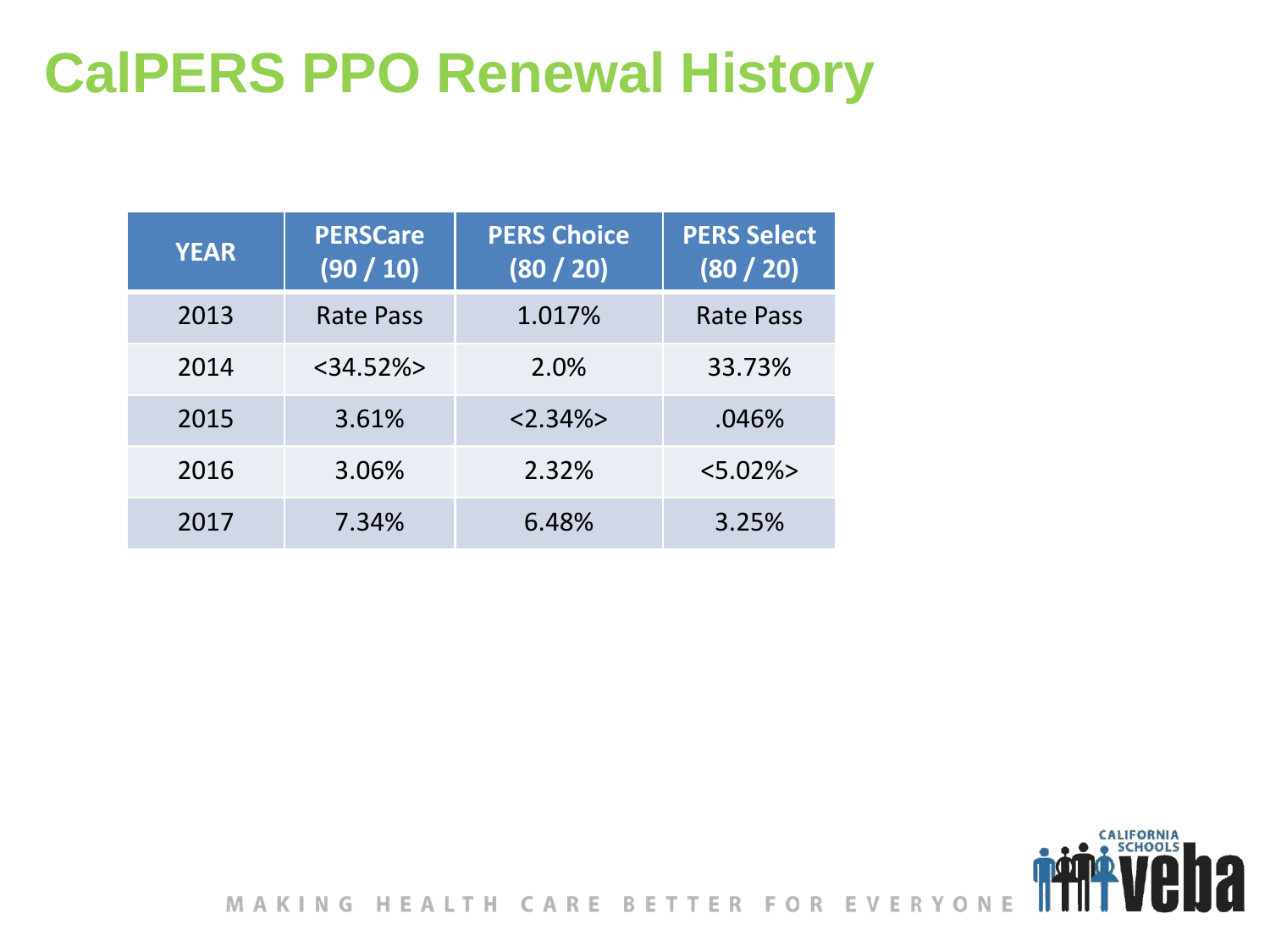# **CalPERS PPO Renewal History**

| <b>YEAR</b> | <b>PERSCare</b><br>(90/10) | <b>PERS Choice</b><br>(80 / 20) | <b>PERS Select</b><br>(80 / 20) |
|-------------|----------------------------|---------------------------------|---------------------------------|
| 2013        | Rate Pass                  | 1.017%                          | <b>Rate Pass</b>                |
| 2014        | $<$ 34.52% $>$             | 2.0%                            | 33.73%                          |
| 2015        | 3.61%                      | $< 2.34\% >$                    | .046%                           |
| 2016        | 3.06%                      | 2.32%                           | $< 5.02\% >$                    |
| 2017        | 7.34%                      | 6.48%                           | 3.25%                           |



CALIFORNIA<br>• SCHOOLS

7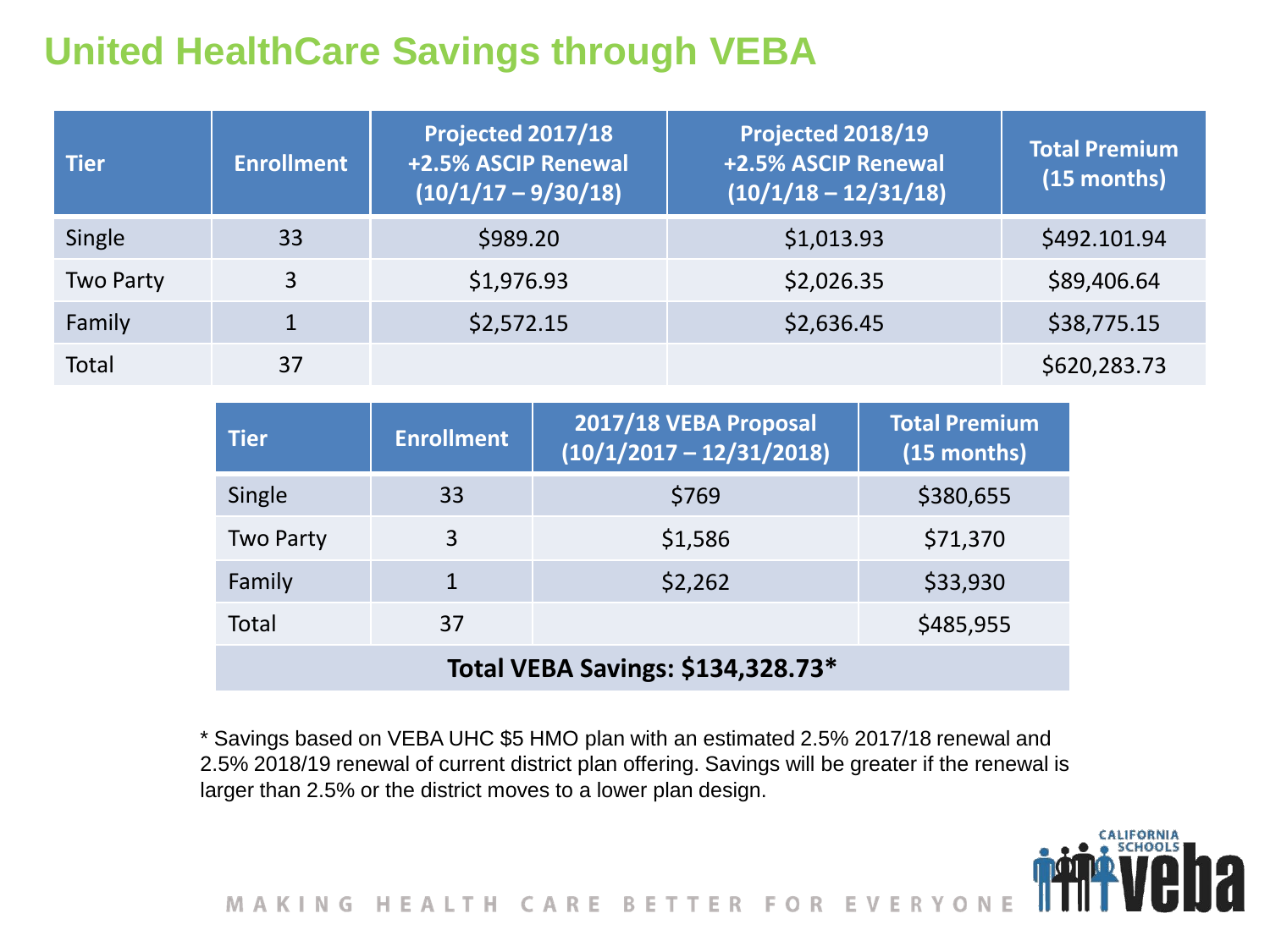#### **United HealthCare Savings through VEBA**

| <b>Tier</b> | <b>Enrollment</b> | Projected 2017/18<br>+2.5% ASCIP Renewal<br>$(10/1/17 - 9/30/18)$ | Projected 2018/19<br>+2.5% ASCIP Renewal<br>$(10/1/18 - 12/31/18)$ | <b>Total Premium</b><br>(15 months) |
|-------------|-------------------|-------------------------------------------------------------------|--------------------------------------------------------------------|-------------------------------------|
| Single      | 33                | \$989.20                                                          | \$1,013.93                                                         | \$492.101.94                        |
| Two Party   | 3                 | \$1,976.93                                                        | \$2,026.35                                                         | \$89,406.64                         |
| Family      | $\mathbf 1$       | \$2,572.15                                                        | \$2,636.45                                                         | \$38,775.15                         |
| Total       | 37                |                                                                   |                                                                    | \$620,283.73                        |

| <b>Tier</b>                       | <b>Enrollment</b> | 2017/18 VEBA Proposal<br>$(10/1/2017 - 12/31/2018)$ | <b>Total Premium</b><br>(15 months) |  |
|-----------------------------------|-------------------|-----------------------------------------------------|-------------------------------------|--|
| Single                            | 33                | \$769                                               | \$380,655                           |  |
| <b>Two Party</b>                  | 3                 | \$1,586                                             | \$71,370                            |  |
| Family                            | 1                 | \$2,262                                             | \$33,930                            |  |
| <b>Total</b>                      | 37                |                                                     | \$485,955                           |  |
| Total VEBA Savings: \$134,328.73* |                   |                                                     |                                     |  |

\* Savings based on VEBA UHC \$5 HMO plan with an estimated 2.5% 2017/18 renewal and 2.5% 2018/19 renewal of current district plan offering. Savings will be greater if the renewal is larger than 2.5% or the district moves to a lower plan design.

**CALIFORNIA** 

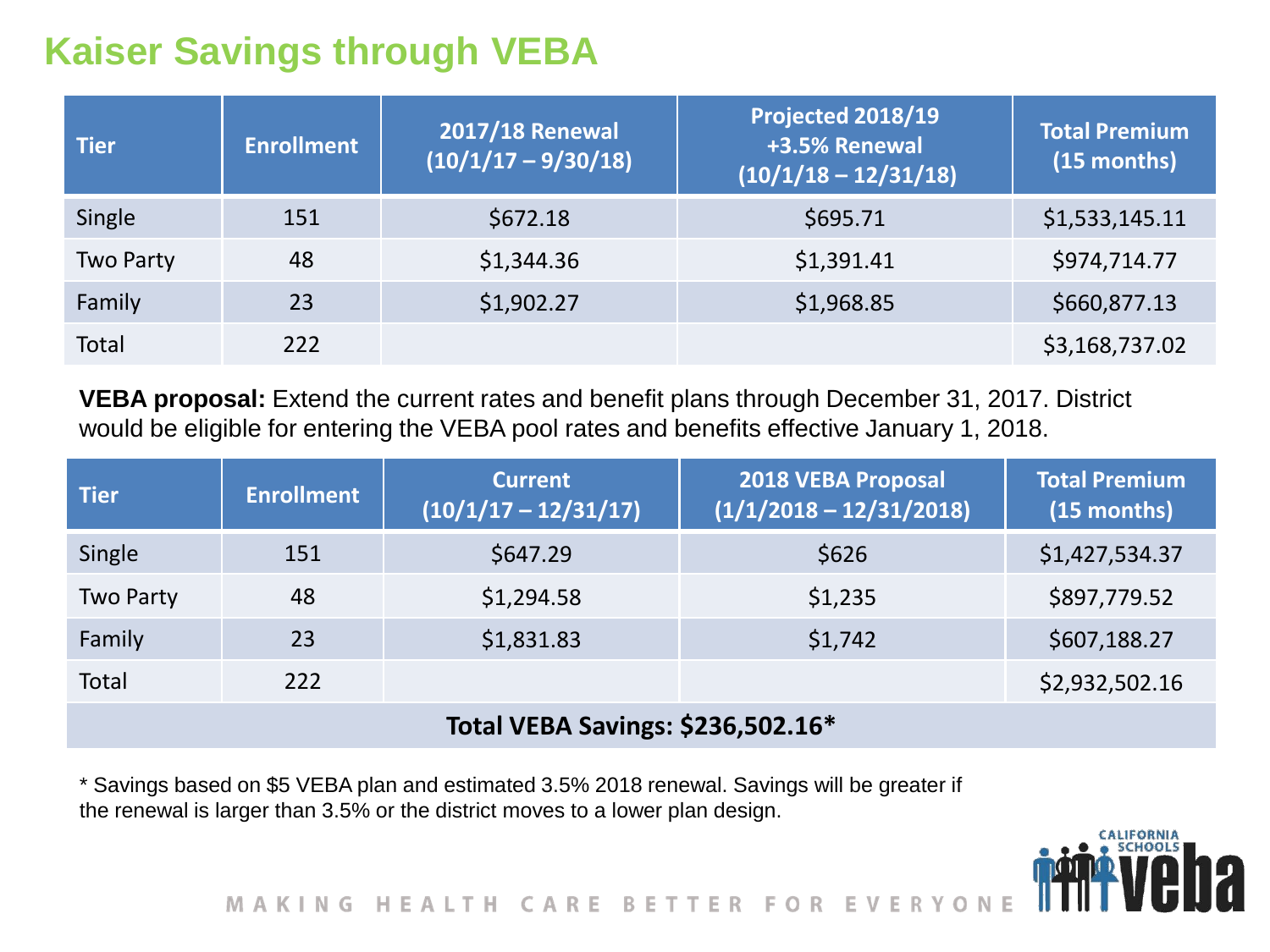#### **Kaiser Savings through VEBA**

| <b>Tier</b>      | <b>Enrollment</b> | <b>2017/18 Renewal</b><br>$(10/1/17 - 9/30/18)$ | Projected 2018/19<br>+3.5% Renewal<br>$(10/1/18 - 12/31/18)$ | Total Premium<br>(15 months) |
|------------------|-------------------|-------------------------------------------------|--------------------------------------------------------------|------------------------------|
| Single           | 151               | \$672.18                                        | \$695.71                                                     | \$1,533,145.11               |
| <b>Two Party</b> | 48                | \$1,344.36                                      | \$1,391.41                                                   | \$974,714.77                 |
| Family           | 23                | \$1,902.27                                      | \$1,968.85                                                   | \$660,877.13                 |
| Total            | 222               |                                                 |                                                              | \$3,168,737.02               |

**VEBA proposal:** Extend the current rates and benefit plans through December 31, 2017. District would be eligible for entering the VEBA pool rates and benefits effective January 1, 2018.

| <b>Tier</b>                       | <b>Enrollment</b> | <b>Current</b><br>$(10/1/17 - 12/31/17)$ | <b>2018 VEBA Proposal</b><br>$(1/1/2018 - 12/31/2018)$ | <b>Total Premium</b><br>(15 months) |  |
|-----------------------------------|-------------------|------------------------------------------|--------------------------------------------------------|-------------------------------------|--|
| Single                            | 151               | \$647.29                                 | \$626                                                  | \$1,427,534.37                      |  |
| <b>Two Party</b>                  | 48                | \$1,294.58                               | \$1,235                                                | \$897,779.52                        |  |
| Family                            | 23                | \$1,831.83                               | \$1,742                                                | \$607,188.27                        |  |
| <b>Total</b>                      | 222               |                                          |                                                        | \$2,932,502.16                      |  |
| Total VEBA Savings: \$236,502.16* |                   |                                          |                                                        |                                     |  |

\* Savings based on \$5 VEBA plan and estimated 3.5% 2018 renewal. Savings will be greater if the renewal is larger than 3.5% or the district moves to a lower plan design.